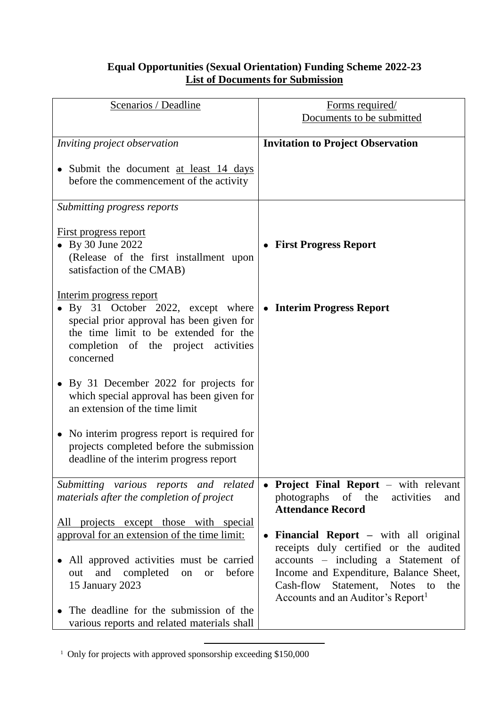## **Equal Opportunities (Sexual Orientation) Funding Scheme 2022-23 List of Documents for Submission**

| Scenarios / Deadline                              | Forms required/                               |
|---------------------------------------------------|-----------------------------------------------|
|                                                   | Documents to be submitted                     |
|                                                   |                                               |
| Inviting project observation                      | <b>Invitation to Project Observation</b>      |
|                                                   |                                               |
| • Submit the document at least 14 days            |                                               |
| before the commencement of the activity           |                                               |
|                                                   |                                               |
| Submitting progress reports                       |                                               |
|                                                   |                                               |
|                                                   |                                               |
| <u>First progress report</u>                      |                                               |
| • By 30 June 2022                                 | <b>First Progress Report</b>                  |
| (Release of the first installment upon            |                                               |
| satisfaction of the CMAB)                         |                                               |
|                                                   |                                               |
| Interim progress report                           |                                               |
| By 31 October 2022, except where                  | • Interim Progress Report                     |
| special prior approval has been given for         |                                               |
| the time limit to be extended for the             |                                               |
| completion of the project activities              |                                               |
| concerned                                         |                                               |
|                                                   |                                               |
|                                                   |                                               |
| By 31 December 2022 for projects for              |                                               |
| which special approval has been given for         |                                               |
| an extension of the time limit                    |                                               |
|                                                   |                                               |
| No interim progress report is required for        |                                               |
| projects completed before the submission          |                                               |
| deadline of the interim progress report           |                                               |
|                                                   |                                               |
| Submitting various reports and related            | • Project Final Report – with relevant        |
| materials after the completion of project         | photographs of the<br>activities<br>and       |
|                                                   | <b>Attendance Record</b>                      |
| All projects except those with special            |                                               |
| approval for an extension of the time limit:      | <b>Financial Report</b> – with all original   |
|                                                   | receipts duly certified or the audited        |
| All approved activities must be carried           | accounts – including a Statement of           |
|                                                   |                                               |
| and completed<br>before<br>out<br>on<br><b>or</b> | Income and Expenditure, Balance Sheet,        |
| 15 January 2023                                   | Cash-flow<br>Statement, Notes<br>the<br>to    |
|                                                   | Accounts and an Auditor's Report <sup>1</sup> |
| The deadline for the submission of the            |                                               |
| various reports and related materials shall       |                                               |

<sup>1</sup> <sup>1</sup> Only for projects with approved sponsorship exceeding \$150,000